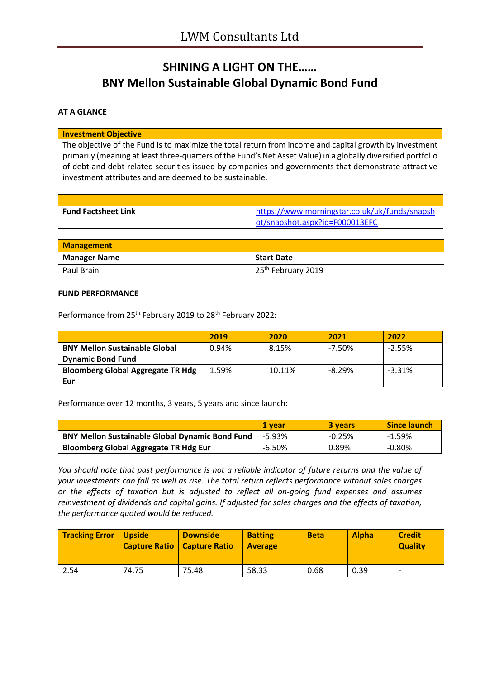# **SHINING A LIGHT ON THE…… BNY Mellon Sustainable Global Dynamic Bond Fund**

#### **AT A GLANCE**

**Investment Objective**

The objective of the Fund is to maximize the total return from income and capital growth by investment primarily (meaning at least three-quarters of the Fund's Net Asset Value) in a globally diversified portfolio of debt and debt-related securities issued by companies and governments that demonstrate attractive investment attributes and are deemed to be sustainable.

| <b>Fund Factsheet Link</b> | https://www.morningstar.co.uk/uk/funds/snapsh |
|----------------------------|-----------------------------------------------|
|                            | ot/snapshot.aspx?id=F000013EFC                |

| <b>Management</b>   |                                |
|---------------------|--------------------------------|
| <b>Manager Name</b> | <b>Start Date</b>              |
| Paul Brain          | 25 <sup>th</sup> February 2019 |

#### **FUND PERFORMANCE**

Performance from 25<sup>th</sup> February 2019 to 28<sup>th</sup> February 2022:

|                                                                  | 2019  | 2020   | 2021      | 2022     |
|------------------------------------------------------------------|-------|--------|-----------|----------|
| <b>BNY Mellon Sustainable Global</b><br><b>Dynamic Bond Fund</b> | 0.94% | 8.15%  | $-7.50\%$ | $-2.55%$ |
| <b>Bloomberg Global Aggregate TR Hdg</b><br>Eur                  | 1.59% | 10.11% | $-8.29%$  | $-3.31%$ |

Performance over 12 months, 3 years, 5 years and since launch:

|                                                        | 1 vear   | 3 years  | <b>Since launch</b> |
|--------------------------------------------------------|----------|----------|---------------------|
| <b>BNY Mellon Sustainable Global Dynamic Bond Fund</b> | $-5.93%$ | $-0.25%$ | -1.59%              |
| <b>Bloomberg Global Aggregate TR Hdg Eur</b>           | $-6.50%$ | 0.89%    | $-0.80\%$           |

*You should note that past performance is not a reliable indicator of future returns and the value of your investments can fall as well as rise. The total return reflects performance without sales charges or the effects of taxation but is adjusted to reflect all on-going fund expenses and assumes reinvestment of dividends and capital gains. If adjusted for sales charges and the effects of taxation, the performance quoted would be reduced.*

| <b>Tracking Error</b> | Upside<br><b>Capture Ratio   Capture Ratio</b> | <b>Downside</b> | <b>Batting</b><br><b>Average</b> | <b>Beta</b> | <b>Alpha</b> | <b>Credit</b><br><b>Quality</b> |
|-----------------------|------------------------------------------------|-----------------|----------------------------------|-------------|--------------|---------------------------------|
| 2.54                  | 74.75                                          | 75.48           | 58.33                            | 0.68        | 0.39         | $\overline{\phantom{0}}$        |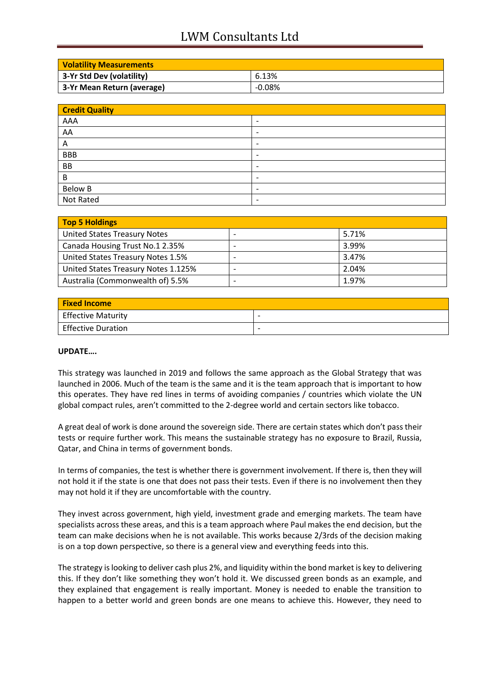## LWM Consultants Ltd

| <b>Volatility Measurements</b> |        |
|--------------------------------|--------|
| 3-Yr Std Dev (volatility)      | 6.13%  |
| 3-Yr Mean Return (average)     | -0.08% |

| <b>Credit Quality</b> |                          |  |
|-----------------------|--------------------------|--|
| AAA                   | $\overline{\phantom{a}}$ |  |
| AA                    | $\overline{\phantom{a}}$ |  |
| Α                     | $\overline{\phantom{a}}$ |  |
| <b>BBB</b>            | $\overline{\phantom{a}}$ |  |
| <b>BB</b>             | $\overline{\phantom{a}}$ |  |
| B                     | $\overline{\phantom{0}}$ |  |
| Below B               | $\overline{\phantom{0}}$ |  |
| Not Rated             | $\overline{\phantom{a}}$ |  |

| Top 5 Holdings                      |       |
|-------------------------------------|-------|
| United States Treasury Notes        | 5.71% |
| Canada Housing Trust No.1 2.35%     | 3.99% |
| United States Treasury Notes 1.5%   | 3.47% |
| United States Treasury Notes 1.125% | 2.04% |
| Australia (Commonwealth of) 5.5%    | 1.97% |

| <b>Fixed Income</b>       |                          |
|---------------------------|--------------------------|
| <b>Effective Maturity</b> | $\overline{\phantom{0}}$ |
| <b>Effective Duration</b> | $\overline{\phantom{0}}$ |

### **UPDATE….**

This strategy was launched in 2019 and follows the same approach as the Global Strategy that was launched in 2006. Much of the team is the same and it is the team approach that is important to how this operates. They have red lines in terms of avoiding companies / countries which violate the UN global compact rules, aren't committed to the 2-degree world and certain sectors like tobacco.

A great deal of work is done around the sovereign side. There are certain states which don't pass their tests or require further work. This means the sustainable strategy has no exposure to Brazil, Russia, Qatar, and China in terms of government bonds.

In terms of companies, the test is whether there is government involvement. If there is, then they will not hold it if the state is one that does not pass their tests. Even if there is no involvement then they may not hold it if they are uncomfortable with the country.

They invest across government, high yield, investment grade and emerging markets. The team have specialists across these areas, and this is a team approach where Paul makes the end decision, but the team can make decisions when he is not available. This works because 2/3rds of the decision making is on a top down perspective, so there is a general view and everything feeds into this.

The strategy is looking to deliver cash plus 2%, and liquidity within the bond market is key to delivering this. If they don't like something they won't hold it. We discussed green bonds as an example, and they explained that engagement is really important. Money is needed to enable the transition to happen to a better world and green bonds are one means to achieve this. However, they need to